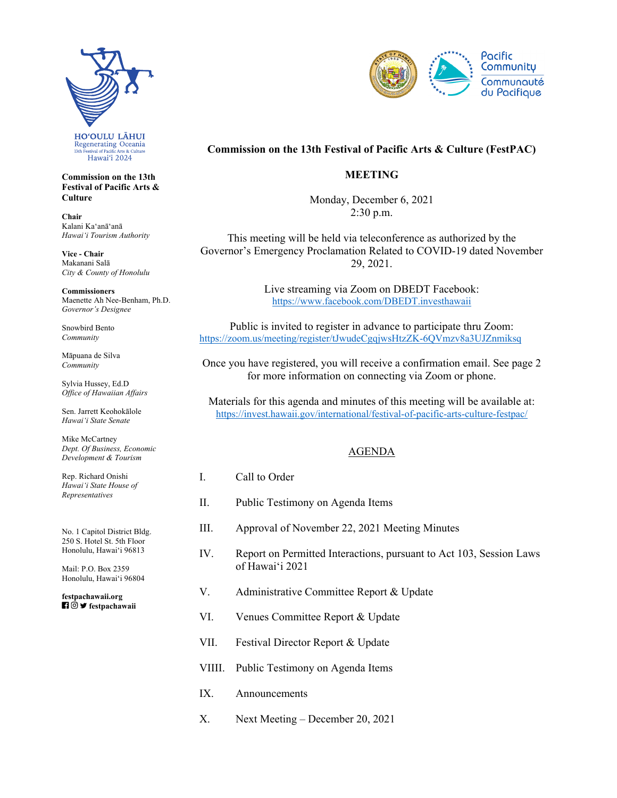

**Commission on the 13th Festival of Pacific Arts & Culture** 

**Chair**  Kalani Kaʻanāʻanā *Hawaiʻi Tourism Authority* 

**Vice - Chair**  Makanani Salā *City & County of Honolulu* 

**Commissioners**  Maenette Ah Nee-Benham, Ph.D. *Governor's Designee* 

Snowbird Bento *Community* 

Māpuana de Silva *Community* 

Sylvia Hussey, Ed.D *Office of Hawaiian Affairs* 

Sen. Jarrett Keohokālole *Hawaiʻi State Senate* 

Mike McCartney *Dept. Of Business, Economic Development & Tourism* 

Rep. Richard Onishi *Hawai'i State House of Representatives* 

No. 1 Capitol District Bldg. 250 S. Hotel St. 5th Floor Honolulu, Hawaiʻi 96813

Mail: P.O. Box 2359 Honolulu, Hawaiʻi 96804

 **festpachawaii [festpachawaii.org](https://festpachawaii.org)** 



## **Commission on the 13th Festival of Pacific Arts & Culture (FestPAC)**

## **MEETING**

Monday, December 6, 2021 2:30 p.m.

This meeting will be held via teleconference as authorized by the Governor's Emergency Proclamation Related to COVID-19 dated November 29, 2021.

> Live streaming via Zoom on DBEDT Facebook: <https://www.facebook.com/DBEDT.investhawaii>

Public is invited to register in advance to participate thru Zoom: <https://zoom.us/meeting/register/tJwudeCgqjwsHtzZK-6QVmzv8a3UJZnmiksq>

Once you have registered, you will receive a confirmation email. See page 2 for more information on connecting via Zoom or phone.

Materials for this agenda and minutes of this meeting will be available at: [https://invest.hawaii.gov/international/festival-of-pacific-arts-culture-festpac/](https://invest.hawaii.gov/international/festival-of-pacific-arts-culture-festpac)

## AGENDA

- I. Call to Order
- II. Public Testimony on Agenda Items
- III. Approval of November 22, 2021 Meeting Minutes
- IV. Report on Permitted Interactions, pursuant to Act 103, Session Laws of Hawaiʻi 2021
- V. Administrative Committee Report & Update
- VI. Venues Committee Report & Update
- VII. Festival Director Report & Update
- VIIII. Public Testimony on Agenda Items
- IX. Announcements
- X. Next Meeting December 20, 2021